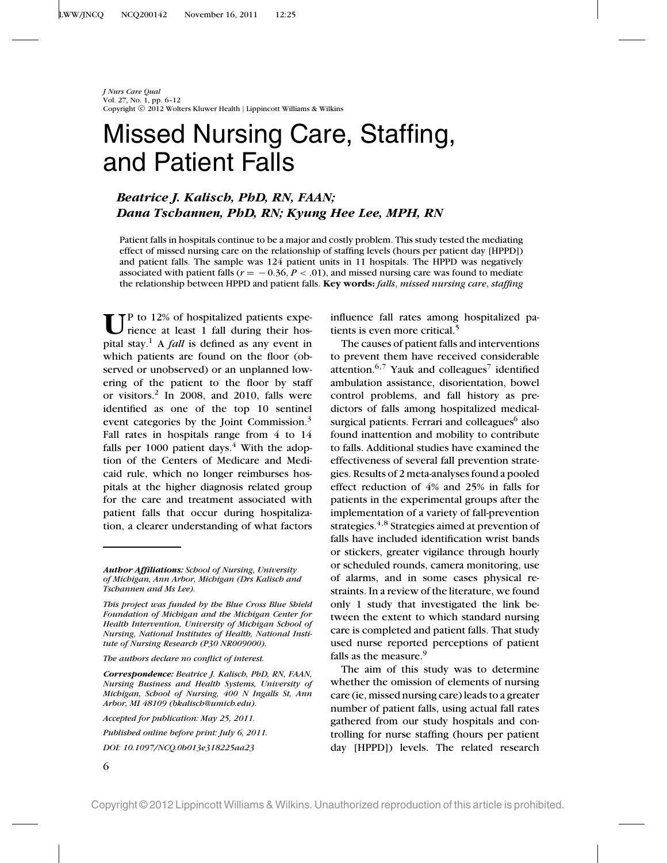# Missed Nursing Care, Staffing, and Patient Falls

# *Beatrice J. Kalisch, PhD, RN, FAAN; Dana Tschannen, PhD, RN; Kyung Hee Lee, MPH, RN*

Patient falls in hospitals continue to be a major and costly problem. This study tested the mediating effect of missed nursing care on the relationship of staffing levels (hours per patient day [HPPD]) and patient falls. The sample was 124 patient units in 11 hospitals. The HPPD was negatively associated with patient falls ( $r = -0.36$ ,  $P < .01$ ), and missed nursing care was found to mediate the relationship between HPPD and patient falls. **Key words:** *falls*, *missed nursing care*, *staffing*

UP to 12% of hospitalized patients experience at least 1 fall during their hospital stay.1 A *fall* is defined as any event in which patients are found on the floor (observed or unobserved) or an unplanned lowering of the patient to the floor by staff or visitors.<sup>2</sup> In 2008, and 2010, falls were identified as one of the top 10 sentinel event categories by the Joint Commission.<sup>3</sup> Fall rates in hospitals range from 4 to  $14$ falls per 1000 patient days. $4$  With the adoption of the Centers of Medicare and Medicaid rule, which no longer reimburses hospitals at the higher diagnosis related group for the care and treatment associated with patient falls that occur during hospitalization, a clearer understanding of what factors

influence fall rates among hospitalized patients is even more critical.<sup>5</sup>

The causes of patient falls and interventions to prevent them have received considerable attention.<sup>6,7</sup> Yauk and colleagues<sup>7</sup> identified ambulation assistance, disorientation, bowel control problems, and fall history as predictors of falls among hospitalized medicalsurgical patients. Ferrari and colleagues $<sup>6</sup>$  also</sup> found inattention and mobility to contribute to falls. Additional studies have examined the effectiveness of several fall prevention strategies. Results of 2 meta-analyses found a pooled effect reduction of 4% and 25% in falls for patients in the experimental groups after the implementation of a variety of fall-prevention strategies.<sup>4,8</sup> Strategies aimed at prevention of falls have included identification wrist bands or stickers, greater vigilance through hourly or scheduled rounds, camera monitoring, use of alarms, and in some cases physical restraints. In a review of the literature, we found only 1 study that investigated the link between the extent to which standard nursing care is completed and patient falls. That study used nurse reported perceptions of patient falls as the measure.<sup>9</sup>

The aim of this study was to determine whether the omission of elements of nursing care (ie, missed nursing care) leads to a greater number of patient falls, using actual fall rates gathered from our study hospitals and controlling for nurse staffing (hours per patient day [HPPD]) levels. The related research

*Author Affiliations: School of Nursing, University of Michigan, Ann Arbor, Michigan (Drs Kalisch and Tschannen and Ms Lee).*

*This project was funded by the Blue Cross Blue Shield Foundation of Michigan and the Michigan Center for Health Intervention, University of Michigan School of Nursing, National Institutes of Health, National Institute of Nursing Research (P30 NR009000).*

*The authors declare no conflict of interest.*

*Correspondence: Beatrice J. Kalisch, PhD, RN, FAAN, Nursing Business and Health Systems, University of Michigan, School of Nursing, 400 N Ingalls St, Ann Arbor, MI 48109 (bkalisch@umich.edu).*

*Accepted for publication: May 25, 2011.*

*Published online before print: July 6, 2011.*

*DOI: 10.1097/NCQ.0b013e318225aa23*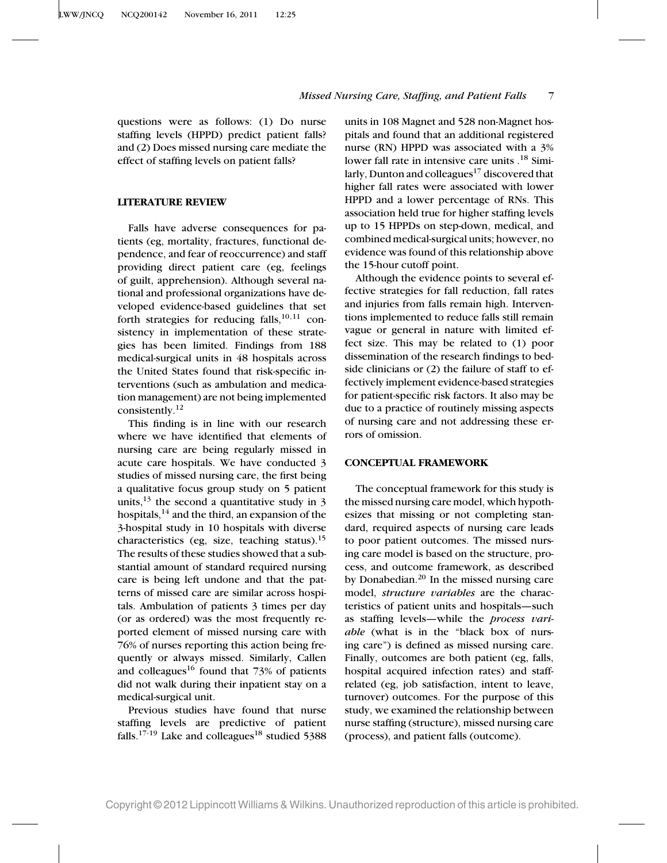questions were as follows: (1) Do nurse staffing levels (HPPD) predict patient falls? and (2) Does missed nursing care mediate the effect of staffing levels on patient falls?

# **LITERATURE REVIEW**

Falls have adverse consequences for patients (eg, mortality, fractures, functional dependence, and fear of reoccurrence) and staff providing direct patient care (eg, feelings of guilt, apprehension). Although several national and professional organizations have developed evidence-based guidelines that set forth strategies for reducing falls,  $10,11$  consistency in implementation of these strategies has been limited. Findings from 188 medical-surgical units in 48 hospitals across the United States found that risk-specific interventions (such as ambulation and medication management) are not being implemented consistently.12

This finding is in line with our research where we have identified that elements of nursing care are being regularly missed in acute care hospitals. We have conducted 3 studies of missed nursing care, the first being a qualitative focus group study on 5 patient units,  $^{13}$  the second a quantitative study in 3 hospitals,  $14$  and the third, an expansion of the 3-hospital study in 10 hospitals with diverse characteristics (eg, size, teaching status). $15$ The results of these studies showed that a substantial amount of standard required nursing care is being left undone and that the patterns of missed care are similar across hospitals. Ambulation of patients 3 times per day (or as ordered) was the most frequently reported element of missed nursing care with 76% of nurses reporting this action being frequently or always missed. Similarly, Callen and colleagues<sup>16</sup> found that 73% of patients did not walk during their inpatient stay on a medical-surgical unit.

Previous studies have found that nurse staffing levels are predictive of patient falls.<sup>17-19</sup> Lake and colleagues<sup>18</sup> studied 5388 units in 108 Magnet and 528 non-Magnet hospitals and found that an additional registered nurse (RN) HPPD was associated with a 3% lower fall rate in intensive care units .<sup>18</sup> Similarly, Dunton and colleagues $17$  discovered that higher fall rates were associated with lower HPPD and a lower percentage of RNs. This association held true for higher staffing levels up to 15 HPPDs on step-down, medical, and combined medical-surgical units; however, no evidence was found of this relationship above the 15-hour cutoff point.

Although the evidence points to several effective strategies for fall reduction, fall rates and injuries from falls remain high. Interventions implemented to reduce falls still remain vague or general in nature with limited effect size. This may be related to (1) poor dissemination of the research findings to bedside clinicians or (2) the failure of staff to effectively implement evidence-based strategies for patient-specific risk factors. It also may be due to a practice of routinely missing aspects of nursing care and not addressing these errors of omission.

# **CONCEPTUAL FRAMEWORK**

The conceptual framework for this study is the missed nursing care model, which hypothesizes that missing or not completing standard, required aspects of nursing care leads to poor patient outcomes. The missed nursing care model is based on the structure, process, and outcome framework, as described by Donabedian. $20$  In the missed nursing care model, *structure variables* are the characteristics of patient units and hospitals—such as staffing levels—while the *process variable* (what is in the "black box of nursing care") is defined as missed nursing care. Finally, outcomes are both patient (eg, falls, hospital acquired infection rates) and staffrelated (eg, job satisfaction, intent to leave, turnover) outcomes. For the purpose of this study, we examined the relationship between nurse staffing (structure), missed nursing care (process), and patient falls (outcome).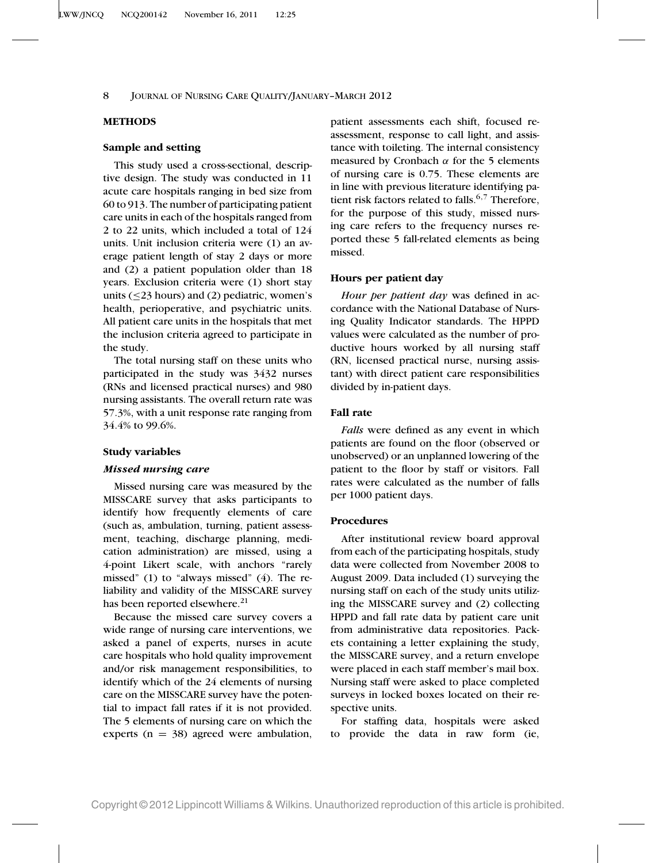# **METHODS**

# **Sample and setting**

This study used a cross-sectional, descriptive design. The study was conducted in 11 acute care hospitals ranging in bed size from 60 to 913. The number of participating patient care units in each of the hospitals ranged from 2 to 22 units, which included a total of 124 units. Unit inclusion criteria were (1) an average patient length of stay 2 days or more and (2) a patient population older than 18 years. Exclusion criteria were (1) short stay units ( $\leq$ 23 hours) and (2) pediatric, women's health, perioperative, and psychiatric units. All patient care units in the hospitals that met the inclusion criteria agreed to participate in the study.

The total nursing staff on these units who participated in the study was 3432 nurses (RNs and licensed practical nurses) and 980 nursing assistants. The overall return rate was 57.3%, with a unit response rate ranging from 34.4% to 99.6%.

# **Study variables**

# *Missed nursing care*

Missed nursing care was measured by the MISSCARE survey that asks participants to identify how frequently elements of care (such as, ambulation, turning, patient assessment, teaching, discharge planning, medication administration) are missed, using a 4-point Likert scale, with anchors "rarely missed" (1) to "always missed" (4). The reliability and validity of the MISSCARE survey has been reported elsewhere.<sup>21</sup>

Because the missed care survey covers a wide range of nursing care interventions, we asked a panel of experts, nurses in acute care hospitals who hold quality improvement and/or risk management responsibilities, to identify which of the 24 elements of nursing care on the MISSCARE survey have the potential to impact fall rates if it is not provided. The 5 elements of nursing care on which the experts  $(n = 38)$  agreed were ambulation, patient assessments each shift, focused reassessment, response to call light, and assistance with toileting. The internal consistency measured by Cronbach  $\alpha$  for the 5 elements of nursing care is 0.75. These elements are in line with previous literature identifying patient risk factors related to falls. $6,7$  Therefore, for the purpose of this study, missed nursing care refers to the frequency nurses reported these 5 fall-related elements as being missed.

# **Hours per patient day**

*Hour per patient day* was defined in accordance with the National Database of Nursing Quality Indicator standards. The HPPD values were calculated as the number of productive hours worked by all nursing staff (RN, licensed practical nurse, nursing assistant) with direct patient care responsibilities divided by in-patient days.

#### **Fall rate**

*Falls* were defined as any event in which patients are found on the floor (observed or unobserved) or an unplanned lowering of the patient to the floor by staff or visitors. Fall rates were calculated as the number of falls per 1000 patient days.

#### **Procedures**

After institutional review board approval from each of the participating hospitals, study data were collected from November 2008 to August 2009. Data included (1) surveying the nursing staff on each of the study units utilizing the MISSCARE survey and (2) collecting HPPD and fall rate data by patient care unit from administrative data repositories. Packets containing a letter explaining the study, the MISSCARE survey, and a return envelope were placed in each staff member's mail box. Nursing staff were asked to place completed surveys in locked boxes located on their respective units.

For staffing data, hospitals were asked to provide the data in raw form (ie,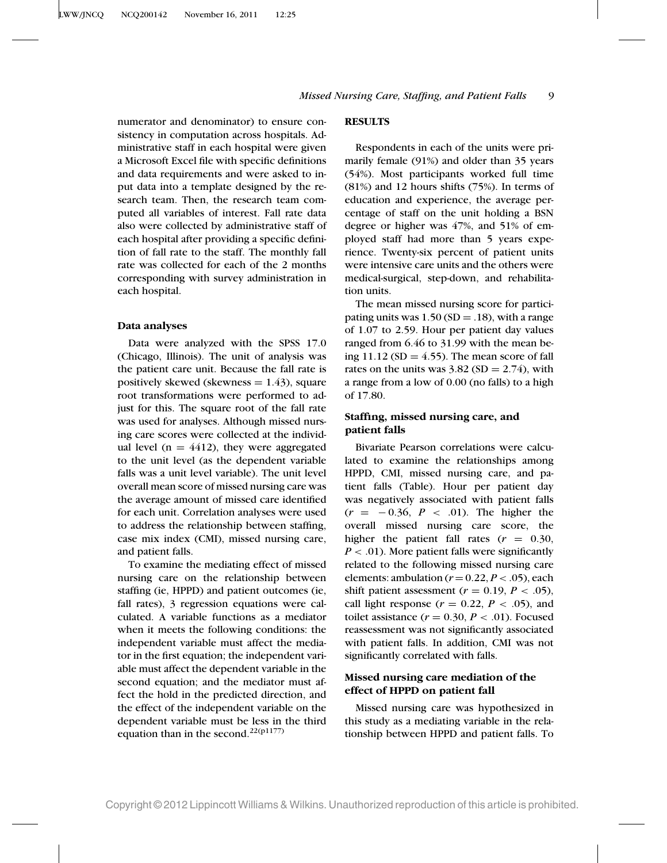numerator and denominator) to ensure consistency in computation across hospitals. Administrative staff in each hospital were given a Microsoft Excel file with specific definitions and data requirements and were asked to input data into a template designed by the research team. Then, the research team computed all variables of interest. Fall rate data also were collected by administrative staff of each hospital after providing a specific definition of fall rate to the staff. The monthly fall rate was collected for each of the 2 months corresponding with survey administration in each hospital.

#### **Data analyses**

Data were analyzed with the SPSS 17.0 (Chicago, Illinois). The unit of analysis was the patient care unit. Because the fall rate is positively skewed (skewness  $= 1.43$ ), square root transformations were performed to adjust for this. The square root of the fall rate was used for analyses. Although missed nursing care scores were collected at the individual level ( $n = 4412$ ), they were aggregated to the unit level (as the dependent variable falls was a unit level variable). The unit level overall mean score of missed nursing care was the average amount of missed care identified for each unit. Correlation analyses were used to address the relationship between staffing, case mix index (CMI), missed nursing care, and patient falls.

To examine the mediating effect of missed nursing care on the relationship between staffing (ie, HPPD) and patient outcomes (ie, fall rates), 3 regression equations were calculated. A variable functions as a mediator when it meets the following conditions: the independent variable must affect the mediator in the first equation; the independent variable must affect the dependent variable in the second equation; and the mediator must affect the hold in the predicted direction, and the effect of the independent variable on the dependent variable must be less in the third equation than in the second.<sup>22(p1177)</sup>

# **RESULTS**

Respondents in each of the units were primarily female (91%) and older than 35 years (54%). Most participants worked full time (81%) and 12 hours shifts (75%). In terms of education and experience, the average percentage of staff on the unit holding a BSN degree or higher was 47%, and 51% of employed staff had more than 5 years experience. Twenty-six percent of patient units were intensive care units and the others were medical-surgical, step-down, and rehabilitation units.

The mean missed nursing score for participating units was  $1.50$  (SD = .18), with a range of 1.07 to 2.59. Hour per patient day values ranged from 6.46 to 31.99 with the mean being  $11.12$  (SD = 4.55). The mean score of fall rates on the units was  $3.82$  (SD = 2.74), with a range from a low of 0.00 (no falls) to a high of 17.80.

# **Staffing, missed nursing care, and patient falls**

Bivariate Pearson correlations were calculated to examine the relationships among HPPD, CMI, missed nursing care, and patient falls (Table). Hour per patient day was negatively associated with patient falls  $(r = -0.36, P < .01)$ . The higher the overall missed nursing care score, the higher the patient fall rates  $(r = 0.30,$  $P < .01$ ). More patient falls were significantly related to the following missed nursing care elements: ambulation ( $r = 0.22$ ,  $P < .05$ ), each shift patient assessment  $(r = 0.19, P < .05)$ , call light response  $(r = 0.22, P < .05)$ , and toilet assistance  $(r = 0.30, P < .01)$ . Focused reassessment was not significantly associated with patient falls. In addition, CMI was not significantly correlated with falls.

# **Missed nursing care mediation of the effect of HPPD on patient fall**

Missed nursing care was hypothesized in this study as a mediating variable in the relationship between HPPD and patient falls. To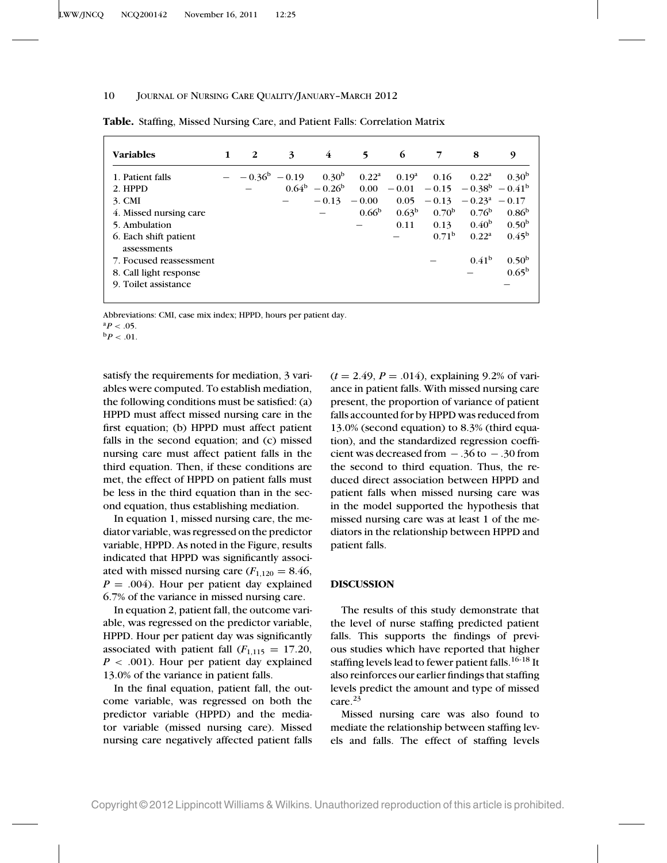| <b>Variables</b>                     | 1 | 2                  | 3 | 4                 | 5                 | 6                 | 7                 | 8                                               | 9                 |
|--------------------------------------|---|--------------------|---|-------------------|-------------------|-------------------|-------------------|-------------------------------------------------|-------------------|
| 1. Patient falls                     |   | $ -0.36^b$ $-0.19$ |   | 0.30 <sup>b</sup> | $0.22^a$          | $0.19^{\rm a}$    | 0.16              | $0.22^a$                                        | $0.30^{b}$        |
| 2. HPPD                              |   |                    |   | $0.64^b - 0.26^b$ | $0.00\,$          |                   |                   | $-0.01$ $-0.15$ $-0.38^{\circ}$ $-0.41^{\circ}$ |                   |
| 3. CMI                               |   |                    |   | $-0.13$           | $-0.00$           | 0.05              | $-0.13$           | $-0.23^a - 0.17$                                |                   |
| 4. Missed nursing care               |   |                    |   |                   | 0.66 <sup>b</sup> | 0.63 <sup>b</sup> | 0.70 <sup>b</sup> | 0.76 <sup>b</sup>                               | 0.86 <sup>b</sup> |
| 5. Ambulation                        |   |                    |   |                   |                   | 0.11              | 0.13              | 0.40 <sup>b</sup>                               | 0.50 <sup>b</sup> |
| 6. Each shift patient<br>assessments |   |                    |   |                   |                   |                   | $0.71^{\rm b}$    | $0.22^a$                                        | $0.45^{\rm b}$    |
| 7. Focused reassessment              |   |                    |   |                   |                   |                   |                   | 0.41 <sup>b</sup>                               | 0.50 <sup>b</sup> |
| 8. Call light response               |   |                    |   |                   |                   |                   |                   |                                                 | $0.65^{\rm b}$    |
| 9. Toilet assistance                 |   |                    |   |                   |                   |                   |                   |                                                 |                   |

**Table.** Staffing, Missed Nursing Care, and Patient Falls: Correlation Matrix

Abbreviations: CMI, case mix index; HPPD, hours per patient day.

satisfy the requirements for mediation, 3 variables were computed. To establish mediation, the following conditions must be satisfied: (a) HPPD must affect missed nursing care in the first equation; (b) HPPD must affect patient falls in the second equation; and (c) missed nursing care must affect patient falls in the third equation. Then, if these conditions are met, the effect of HPPD on patient falls must be less in the third equation than in the second equation, thus establishing mediation.

In equation 1, missed nursing care, the mediator variable, was regressed on the predictor variable, HPPD. As noted in the Figure, results indicated that HPPD was significantly associated with missed nursing care  $(F_{1,120} = 8.46)$ ,  $P = .004$ ). Hour per patient day explained 6.7% of the variance in missed nursing care.

In equation 2, patient fall, the outcome variable, was regressed on the predictor variable, HPPD. Hour per patient day was significantly associated with patient fall  $(F_{1,115} = 17.20,$  $P < .001$ ). Hour per patient day explained 13.0% of the variance in patient falls.

In the final equation, patient fall, the outcome variable, was regressed on both the predictor variable (HPPD) and the mediator variable (missed nursing care). Missed nursing care negatively affected patient falls

 $(t = 2.49, P = .014)$ , explaining 9.2% of variance in patient falls. With missed nursing care present, the proportion of variance of patient falls accounted for by HPPD was reduced from 13.0% (second equation) to 8.3% (third equation), and the standardized regression coefficient was decreased from − .36 to − .30 from the second to third equation. Thus, the reduced direct association between HPPD and patient falls when missed nursing care was in the model supported the hypothesis that missed nursing care was at least 1 of the mediators in the relationship between HPPD and patient falls.

# **DISCUSSION**

The results of this study demonstrate that the level of nurse staffing predicted patient falls. This supports the findings of previous studies which have reported that higher staffing levels lead to fewer patient falls.<sup>16-18</sup> It also reinforces our earlier findings that staffing levels predict the amount and type of missed care.23

Missed nursing care was also found to mediate the relationship between staffing levels and falls. The effect of staffing levels

 ${}^{a}P$  < .05.

 $b$ *P* < .01.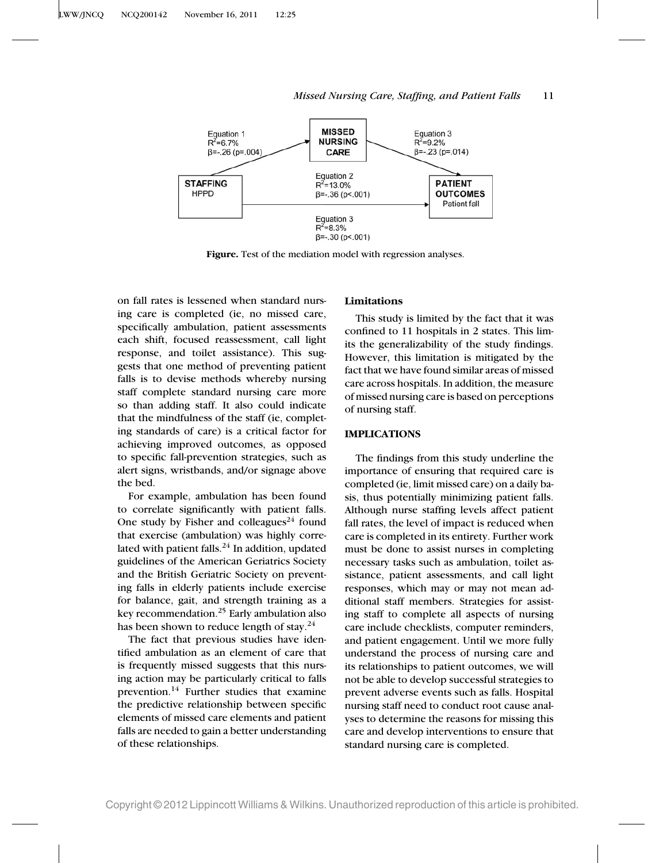

**Figure.** Test of the mediation model with regression analyses.

on fall rates is lessened when standard nursing care is completed (ie, no missed care, specifically ambulation, patient assessments each shift, focused reassessment, call light response, and toilet assistance). This suggests that one method of preventing patient falls is to devise methods whereby nursing staff complete standard nursing care more so than adding staff. It also could indicate that the mindfulness of the staff (ie, completing standards of care) is a critical factor for achieving improved outcomes, as opposed to specific fall-prevention strategies, such as alert signs, wristbands, and/or signage above the bed.

For example, ambulation has been found to correlate significantly with patient falls. One study by Fisher and colleagues<sup>24</sup> found that exercise (ambulation) was highly correlated with patient falls. $^{24}$  In addition, updated guidelines of the American Geriatrics Society and the British Geriatric Society on preventing falls in elderly patients include exercise for balance, gait, and strength training as a key recommendation.<sup>25</sup> Early ambulation also has been shown to reduce length of stay. $24$ 

The fact that previous studies have identified ambulation as an element of care that is frequently missed suggests that this nursing action may be particularly critical to falls prevention.<sup>14</sup> Further studies that examine the predictive relationship between specific elements of missed care elements and patient falls are needed to gain a better understanding of these relationships.

#### **Limitations**

This study is limited by the fact that it was confined to 11 hospitals in 2 states. This limits the generalizability of the study findings. However, this limitation is mitigated by the fact that we have found similar areas of missed care across hospitals. In addition, the measure of missed nursing care is based on perceptions of nursing staff.

# **IMPLICATIONS**

The findings from this study underline the importance of ensuring that required care is completed (ie, limit missed care) on a daily basis, thus potentially minimizing patient falls. Although nurse staffing levels affect patient fall rates, the level of impact is reduced when care is completed in its entirety. Further work must be done to assist nurses in completing necessary tasks such as ambulation, toilet assistance, patient assessments, and call light responses, which may or may not mean additional staff members. Strategies for assisting staff to complete all aspects of nursing care include checklists, computer reminders, and patient engagement. Until we more fully understand the process of nursing care and its relationships to patient outcomes, we will not be able to develop successful strategies to prevent adverse events such as falls. Hospital nursing staff need to conduct root cause analyses to determine the reasons for missing this care and develop interventions to ensure that standard nursing care is completed.